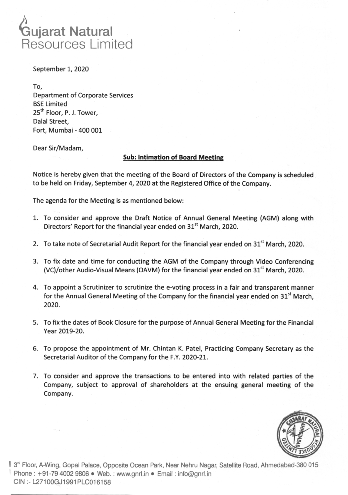

September 1, 2020

To, Department of Corporate Services BSE Limited **25th** Floor, P. J. Tower, Dalal Street, Fort, Mumbai - 400 001

Dear Sir/Madam,

## **Sub: Intimation of Board Meeting**

Notice is hereby given that the meeting of the Board of Directors of the Company is scheduled to be held on Friday, September 4, 2020 at the Registered Office of the Company.

The agenda for the Meeting is as mentioned below:

- 1. To consider and approve the Draft Notice of Annual General Meeting (AGM) along with Directors' Report for the financial year ended on **315t** March, 2020.
- 2. To take note of Secretarial Audit Report for the financial year ended on  $31<sup>st</sup>$  March, 2020.
- 3. To fix date and time for conducting the AGM of the Company through Video Conferencing (VC)/other Audio-Visual Means (OAVM) for the financial year ended on  $31<sup>st</sup>$  March, 2020.
- 4. To appoint a Scrutinizer to scrutinize the e-voting process in a fair and transparent manner for the Annual General Meeting of the Company for the financial year ended on **31st** March, 2020.
- 5. To fix the dates of Book Closure for the purpose of Annual General Meeting for the Financial Year 2019-20.
- 6. To propose the appointment of Mr. Chintan K. Patel, Practicing Company Secretary as the Secretarial Auditor of the Company for the F.Y. 2020-21.
- 7. To consider and approve the transactions to be entered into with related parties of the Company, subject to approval of shareholders at the ensuing general meeting of the Company.



**I** 3<sup>re</sup> Floor, A-Wing, Gopal Palace, Opposite Ocean Park, Near Nehru Nagar, Satellite Road, Ahmedabad-380 015 Phone: +91-79 4002 9806 • Web.: www.gnrl.in • Email: info@gnrl.in CIN **:-** L27100GJ1991PLC016158